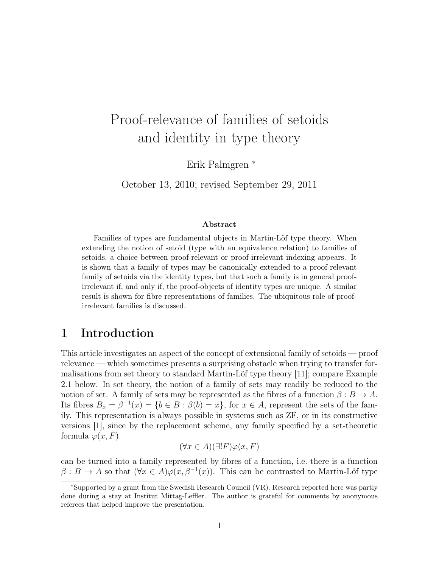# Proof-relevance of families of setoids and identity in type theory

Erik Palmgren <sup>∗</sup>

October 13, 2010; revised September 29, 2011

#### Abstract

Families of types are fundamental objects in Martin-Löf type theory. When extending the notion of setoid (type with an equivalence relation) to families of setoids, a choice between proof-relevant or proof-irrelevant indexing appears. It is shown that a family of types may be canonically extended to a proof-relevant family of setoids via the identity types, but that such a family is in general proofirrelevant if, and only if, the proof-objects of identity types are unique. A similar result is shown for fibre representations of families. The ubiquitous role of proofirrelevant families is discussed.

# 1 Introduction

This article investigates an aspect of the concept of extensional family of setoids — proof relevance — which sometimes presents a surprising obstacle when trying to transfer formalisations from set theory to standard Martin-Löf type theory [11]; compare Example 2.1 below. In set theory, the notion of a family of sets may readily be reduced to the notion of set. A family of sets may be represented as the fibres of a function  $\beta : B \to A$ . Its fibres  $B_x = \beta^{-1}(x) = \{b \in B : \beta(b) = x\}$ , for  $x \in A$ , represent the sets of the family. This representation is always possible in systems such as ZF, or in its constructive versions [1], since by the replacement scheme, any family specified by a set-theoretic formula  $\varphi(x, F)$ 

$$
(\forall x \in A)(\exists! F)\varphi(x, F)
$$

can be turned into a family represented by fibres of a function, i.e. there is a function  $\beta: B \to A$  so that  $(\forall x \in A) \varphi(x, \beta^{-1}(x))$ . This can be contrasted to Martin-Löf type

<sup>∗</sup>Supported by a grant from the Swedish Research Council (VR). Research reported here was partly done during a stay at Institut Mittag-Leffler. The author is grateful for comments by anonymous referees that helped improve the presentation.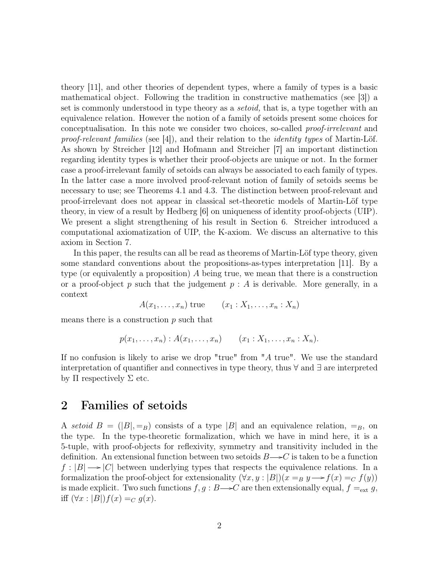theory [11], and other theories of dependent types, where a family of types is a basic mathematical object. Following the tradition in constructive mathematics (see [3]) a set is commonly understood in type theory as a *setoid*, that is, a type together with an equivalence relation. However the notion of a family of setoids present some choices for conceptualisation. In this note we consider two choices, so-called proof-irrelevant and proof-relevant families (see [4]), and their relation to the identity types of Martin-Löf. As shown by Streicher [12] and Hofmann and Streicher [7] an important distinction regarding identity types is whether their proof-objects are unique or not. In the former case a proof-irrelevant family of setoids can always be associated to each family of types. In the latter case a more involved proof-relevant notion of family of setoids seems be necessary to use; see Theorems 4.1 and 4.3. The distinction between proof-relevant and proof-irrelevant does not appear in classical set-theoretic models of Martin-Löf type theory, in view of a result by Hedberg [6] on uniqueness of identity proof-objects (UIP). We present a slight strengthening of his result in Section 6. Streicher introduced a computational axiomatization of UIP, the K-axiom. We discuss an alternative to this axiom in Section 7.

In this paper, the results can all be read as theorems of Martin-Löf type theory, given some standard conventions about the propositions-as-types interpretation [11]. By a type (or equivalently a proposition)  $\tilde{A}$  being true, we mean that there is a construction or a proof-object p such that the judgement  $p : A$  is derivable. More generally, in a context

 $A(x_1, \ldots, x_n)$  true  $(x_1 : X_1, \ldots, x_n : X_n)$ 

means there is a construction  $p$  such that

$$
p(x_1,...,x_n): A(x_1,...,x_n)
$$
  $(x_1:X_1,...,x_n:X_n).$ 

If no confusion is likely to arise we drop "true" from "A true". We use the standard interpretation of quantifier and connectives in type theory, thus ∀ and ∃ are interpreted by  $\Pi$  respectively  $\Sigma$  etc.

#### 2 Families of setoids

A setoid  $B = (|B|, =_B)$  consists of a type |B| and an equivalence relation,  $=_B$ , on the type. In the type-theoretic formalization, which we have in mind here, it is a 5-tuple, with proof-objects for reflexivity, symmetry and transitivity included in the definition. An extensional function between two setoids  $B \rightarrow C$  is taken to be a function  $f: |B| \longrightarrow |C|$  between underlying types that respects the equivalence relations. In a formalization the proof-object for extensionality  $(\forall x, y : |B|)(x =_B y \rightarrow f(x) =_C f(y))$ is made explicit. Two such functions  $f, g : B \rightarrow C$  are then extensionally equal,  $f =_{ext} g$ , iff  $(\forall x : |B|) f(x) =_C g(x)$ .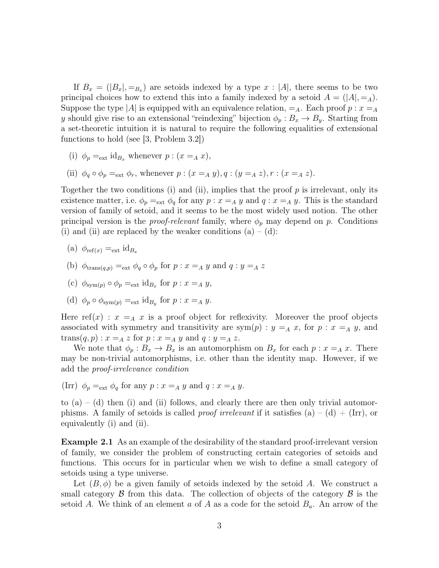If  $B_x = (B_x, B_y)$  are setoids indexed by a type  $x : |A|$ , there seems to be two principal choices how to extend this into a family indexed by a setoid  $A = (A|, =_A)$ . Suppose the type |A| is equipped with an equivalence relation,  $=_A$ . Each proof  $p : x = _A$ y should give rise to an extensional "reindexing" bijection  $\phi_p : B_x \to B_y$ . Starting from a set-theoretic intuition it is natural to require the following equalities of extensional functions to hold (see [3, Problem 3.2])

- (i)  $\phi_p =_{ext} id_{B_x}$  whenever  $p : (x =_A x)$ ,
- (ii)  $\phi_q \circ \phi_p =_{ext} \phi_r$ , whenever  $p : (x =_A y), q : (y =_A z), r : (x =_A z)$ .

Together the two conditions (i) and (ii), implies that the proof  $p$  is irrelevant, only its existence matter, i.e.  $\phi_p =_{ext} \phi_q$  for any  $p : x =_A y$  and  $q : x =_A y$ . This is the standard version of family of setoid, and it seems to be the most widely used notion. The other principal version is the *proof-relevant* family, where  $\phi_p$  may depend on p. Conditions (i) and (ii) are replaced by the weaker conditions  $(a) - (d)$ :

(a) 
$$
\phi_{ref(x)} = \text{ext} id_{B_x}
$$

- (b)  $\phi_{\text{trans}(q,p)} =_{\text{ext}} \phi_q \circ \phi_p$  for  $p : x =_A y$  and  $q : y =_A z$
- (c)  $\phi_{sym(p)} \circ \phi_p =_{ext} id_{B_x}$  for  $p : x =_A y$ ,
- (d)  $\phi_p \circ \phi_{sym(p)} =_{ext} id_{B_y}$  for  $p : x =_A y$ .

Here ref(x) :  $x = A$  x is a proof object for reflexivity. Moreover the proof objects associated with symmetry and transitivity are  $sym(p): y = A x$ , for  $p: x = A y$ , and  $trans(q, p) : x = A z$  for  $p : x = A y$  and  $q : y = A z$ .

We note that  $\phi_p : B_x \to B_x$  is an automorphism on  $B_x$  for each  $p : x =_A x$ . There may be non-trivial automorphisms, i.e. other than the identity map. However, if we add the proof-irrelevance condition

(Irr) 
$$
\phi_p =_{ext} \phi_q
$$
 for any  $p : x =_A y$  and  $q : x =_A y$ .

to  $(a) - (d)$  then (i) and (ii) follows, and clearly there are then only trivial automorphisms. A family of setoids is called *proof irrelevant* if it satisfies (a) – (d) + (Irr), or equivalently (i) and (ii).

Example 2.1 As an example of the desirability of the standard proof-irrelevant version of family, we consider the problem of constructing certain categories of setoids and functions. This occurs for in particular when we wish to define a small category of setoids using a type universe.

Let  $(B, \phi)$  be a given family of setoids indexed by the setoid A. We construct a small category  $\beta$  from this data. The collection of objects of the category  $\beta$  is the setoid A. We think of an element a of A as a code for the setoid  $B_a$ . An arrow of the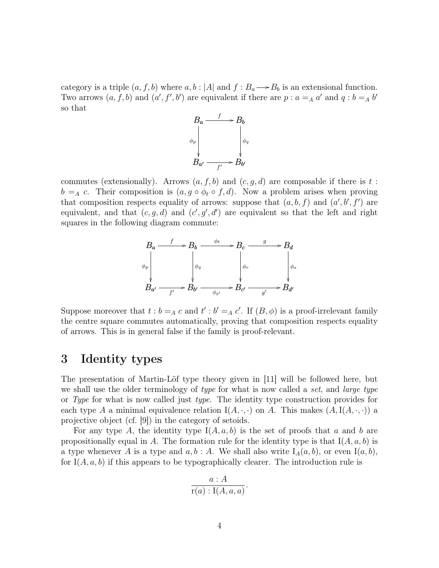category is a triple  $(a, f, b)$  where  $a, b : |A|$  and  $f : B_a \longrightarrow B_b$  is an extensional function. Two arrows  $(a, f, b)$  and  $(a', f', b')$  are equivalent if there are  $p : a = A$  a' and  $q : b = A$  b' so that



commutes (extensionally). Arrows  $(a, f, b)$  and  $(c, g, d)$  are composable if there is t:  $b = A$  c. Their composition is  $(a, g \circ \phi_t \circ f, d)$ . Now a problem arises when proving that composition respects equality of arrows: suppose that  $(a, b, f)$  and  $(a', b', f')$  are equivalent, and that  $(c, g, d)$  and  $(c', g', d')$  are equivalent so that the left and right squares in the following diagram commute:



Suppose moreover that  $t : b = A \ c$  and  $t' : b' = A \ c'$ . If  $(B, \phi)$  is a proof-irrelevant family the centre square commutes automatically, proving that composition respects equality of arrows. This is in general false if the family is proof-relevant.

# 3 Identity types

The presentation of Martin-Löf type theory given in [11] will be followed here, but we shall use the older terminology of type for what is now called a set, and large type or Type for what is now called just type. The identity type construction provides for each type A a minimal equivalence relation  $I(A, \cdot, \cdot)$  on A. This makes  $(A, I(A, \cdot, \cdot))$  a projective object (cf. [9]) in the category of setoids.

For any type A, the identity type  $I(A, a, b)$  is the set of proofs that a and b are propositionally equal in A. The formation rule for the identity type is that  $I(A, a, b)$  is a type whenever A is a type and  $a, b : A$ . We shall also write  $I_A(a, b)$ , or even  $I(a, b)$ , for  $I(A, a, b)$  if this appears to be typographically clearer. The introduction rule is

$$
\frac{a:A}{\mathrm{r}(a):\mathrm{I}(A,a,a)}.
$$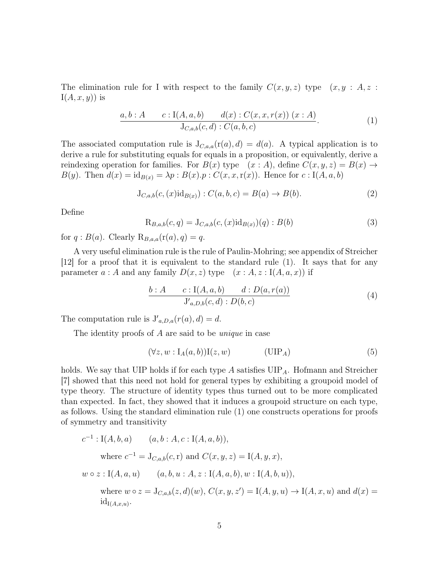The elimination rule for I with respect to the family  $C(x, y, z)$  type  $(x, y : A, z : A, z)$  $I(A, x, y)$  is

$$
\frac{a, b : A \qquad c : I(A, a, b) \qquad d(x) : C(x, x, r(x)) \ (x : A)}{\mathrm{J}_{C, a, b}(c, d) : C(a, b, c)}.\tag{1}
$$

The associated computation rule is  $J_{C,a,a}(r(a), d) = d(a)$ . A typical application is to derive a rule for substituting equals for equals in a proposition, or equivalently, derive a reindexing operation for families. For  $B(x)$  type  $(x : A)$ , define  $C(x, y, z) = B(x) \rightarrow$  $B(y)$ . Then  $d(x) = id_{B(x)} = \lambda p : B(x) \cdot p : C(x, x, r(x))$ . Hence for  $c : I(A, a, b)$ 

$$
J_{C,a,b}(c,(x)id_{B(x)}):C(a,b,c) = B(a) \to B(b).
$$
 (2)

Define

$$
R_{B,a,b}(c,q) = J_{C,a,b}(c,(x)id_{B(x)})(q) : B(b)
$$
\n(3)

for  $q : B(a)$ . Clearly  $\mathcal{R}_{B,a,a}(\mathbf{r}(a), q) = q$ .

A very useful elimination rule is the rule of Paulin-Mohring; see appendix of Streicher [12] for a proof that it is equivalent to the standard rule (1). It says that for any parameter a : A and any family  $D(x, z)$  type  $(x : A, z : I(A, a, x))$  if

$$
\frac{b:A \qquad c: \mathcal{I}(A,a,b) \qquad d:D(a,r(a))}{\mathcal{J}_{a,D,b}(c,d): D(b,c)} \tag{4}
$$

The computation rule is  $J'_{a,D,a}(r(a), d) = d$ .

The identity proofs of A are said to be *unique* in case

$$
(\forall z, w : I_A(a, b))I(z, w) \qquad (\text{UIP}_A) \qquad (5)
$$

holds. We say that UIP holds if for each type  $A$  satisfies  $UIP<sub>A</sub>$ . Hofmann and Streicher [7] showed that this need not hold for general types by exhibiting a groupoid model of type theory. The structure of identity types thus turned out to be more complicated than expected. In fact, they showed that it induces a groupoid structure on each type, as follows. Using the standard elimination rule (1) one constructs operations for proofs of symmetry and transitivity

$$
c^{-1}: I(A, b, a) \qquad (a, b: A, c: I(A, a, b)),
$$
  
\nwhere  $c^{-1} = J_{C,a,b}(c, r)$  and  $C(x, y, z) = I(A, y, x),$   
\n $w \circ z: I(A, a, u) \qquad (a, b, u: A, z: I(A, a, b), w: I(A, b, u)),$   
\nwhere  $w \circ z = J_{C,a,b}(z, d)(w), C(x, y, z') = I(A, y, u) \rightarrow I(A, x, u)$  and  $d(x) = id_{I(A, x, u)}.$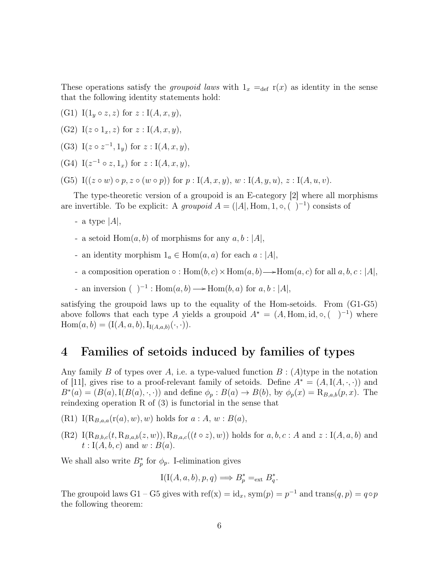These operations satisfy the *groupoid laws* with  $1_x =_{def} r(x)$  as identity in the sense that the following identity statements hold:

- (G1) I( $1_y \circ z, z$ ) for  $z : I(A, x, y)$ ,
- (G2) I( $z \circ 1_x, z$ ) for  $z : I(A, x, y)$ ,
- (G3) I( $z \circ z^{-1}$ , 1<sub>y</sub>) for  $z : I(A, x, y)$ ,
- (G4)  $I(z^{-1} \circ z, 1_x)$  for  $z : I(A, x, y)$ ,
- (G5) I(( $z \circ w$ )  $\circ p, z \circ (w \circ p)$ ) for  $p : I(A, x, y), w : I(A, y, u), z : I(A, u, v)$ .

The type-theoretic version of a groupoid is an E-category [2] where all morphisms are invertible. To be explicit: A groupoid  $A = (|A|, \text{Hom}, 1, \circ, (-)^{-1})$  consists of

- a type  $|A|$ ,
- a setoid  $Hom(a, b)$  of morphisms for any  $a, b : |A|$ ,
- an identity morphism  $1_a \in \text{Hom}(a, a)$  for each  $a : |A|$ ,
- a composition operation  $\circ$ :  $Hom(b, c) \times Hom(a, b) \longrightarrow Hom(a, c)$  for all  $a, b, c$ :  $|A|$ ,
- an inversion (  $)^{-1}$  : Hom $(a, b)$  → Hom $(b, a)$  for  $a, b$  : |A|,

satisfying the groupoid laws up to the equality of the Hom-setoids. From (G1-G5) above follows that each type A yields a groupoid  $A^* = (A, \text{Hom}, \text{id}, \circ, (-)^{-1})$  where  $\text{Hom}(a, b) = (\text{I}(A, a, b), \text{I}_{\text{I}(A, a, b)}(\cdot, \cdot)).$ 

# 4 Families of setoids induced by families of types

Any family B of types over A, i.e. a type-valued function  $B: (A)$  type in the notation of [11], gives rise to a proof-relevant family of setoids. Define  $A^* = (A, I(A, \cdot, \cdot))$  and  $B^*(a) = (B(a), I(B(a), \cdot, \cdot))$  and define  $\phi_p : B(a) \to B(b)$ , by  $\phi_p(x) = \mathcal{R}_{B,a,b}(p,x)$ . The reindexing operation R of (3) is functorial in the sense that

- $(R1)$  I(R<sub>B,a,a</sub>(r(a), w), w) holds for  $a:A, w:B(a),$
- $(R2) \ I(R_{B,b,c}(t, R_{B,a,b}(z, w)), R_{B,a,c}((t \circ z), w))$  holds for  $a, b, c : A$  and  $z : I(A, a, b)$  and  $t: I(A, b, c)$  and  $w: B(a)$ .

We shall also write  $B_p^*$  for  $\phi_p$ . I-elimination gives

$$
I(I(A, a, b), p, q) \Longrightarrow B_p^* =_{ext} B_q^*.
$$

The groupoid laws G1 – G5 gives with  $\text{ref}(x) = id_x$ ,  $\text{sym}(p) = p^{-1}$  and  $\text{trans}(q, p) = q \circ p$ the following theorem: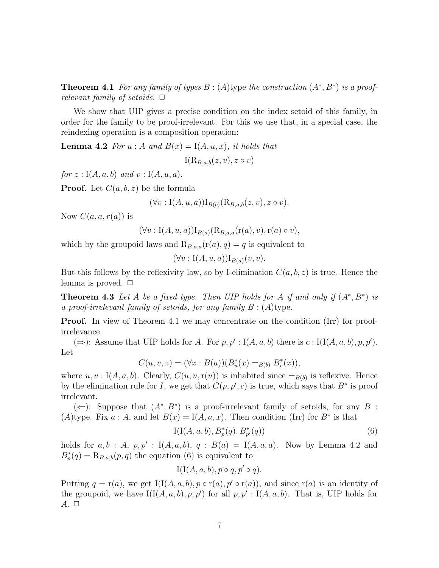**Theorem 4.1** For any family of types  $B: (A)$  type the construction  $(A^*, B^*)$  is a proofrelevant family of setoids.  $\Box$ 

We show that UIP gives a precise condition on the index setoid of this family, in order for the family to be proof-irrelevant. For this we use that, in a special case, the reindexing operation is a composition operation:

**Lemma 4.2** For  $u : A$  and  $B(x) = I(A, u, x)$ , it holds that

 $I(R_{B,a,b}(z, v), z \circ v)$ 

for  $z: I(A, a, b)$  and  $v: I(A, u, a)$ .

**Proof.** Let  $C(a, b, z)$  be the formula

$$
(\forall v : I(A, u, a)) I_{B(b)}(R_{B,a,b}(z, v), z \circ v).
$$

Now  $C(a, a, r(a))$  is

$$
(\forall v: I(A, u, a))I_{B(a)}(R_{B,a,a}(r(a), v), r(a) \circ v),
$$

which by the groupoid laws and  $\mathcal{R}_{B,a,a}(r(a), q) = q$  is equivalent to

$$
(\forall v: I(A, u, a))I_{B(a)}(v, v).
$$

But this follows by the reflexivity law, so by I-elimination  $C(a, b, z)$  is true. Hence the lemma is proved.  $\Box$ 

**Theorem 4.3** Let A be a fixed type. Then UIP holds for A if and only if  $(A^*, B^*)$  is a proof-irrelevant family of setoids, for any family  $B: (A)$ type.

**Proof.** In view of Theorem 4.1 we may concentrate on the condition (Irr) for proofirrelevance.

(⇒): Assume that UIP holds for A. For  $p, p'$  : I(A, a, b) there is c : I(I(A, a, b), p, p'). Let

$$
C(u, v, z) = (\forall x : B(a))(B_u^*(x) =_{B(b)} B_v^*(x)),
$$

where  $u, v : I(A, a, b)$ . Clearly,  $C(u, u, r(u))$  is inhabited since  $=_{B(b)}$  is reflexive. Hence by the elimination rule for I, we get that  $C(p, p', c)$  is true, which says that  $B^*$  is proof irrelevant.

( $\Leftarrow$ ): Suppose that  $(A^*, B^*)$  is a proof-irrelevant family of setoids, for any B : (A)type. Fix  $a : A$ , and let  $B(x) = I(A, a, x)$ . Then condition (Irr) for  $B^*$  is that

$$
I(I(A, a, b), B_p^*(q), B_{p'}^*(q))
$$
\n(6)

holds for  $a, b : A, p, p' : I(A, a, b), q : B(a) = I(A, a, a)$ . Now by Lemma 4.2 and  $B_p^*(q) = \mathcal{R}_{B,a,b}(p,q)$  the equation (6) is equivalent to

$$
I(I(A, a, b), p \circ q, p' \circ q).
$$

Putting  $q = r(a)$ , we get I(I(A, a, b),  $p \circ r(a)$ ,  $p' \circ r(a)$ ), and since  $r(a)$  is an identity of the groupoid, we have  $I(I(A, a, b), p, p')$  for all  $p, p' : I(A, a, b)$ . That is, UIP holds for  $A. \Box$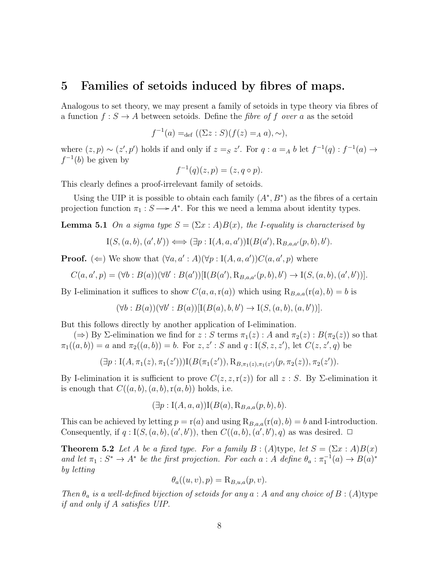#### 5 Families of setoids induced by fibres of maps.

Analogous to set theory, we may present a family of setoids in type theory via fibres of a function  $f: S \to A$  between setoids. Define the *fibre of f over a* as the setoid

$$
f^{-1}(a) =_{def} ((\Sigma z : S)(f(z) =_A a), \sim),
$$

where  $(z, p) \sim (z', p')$  holds if and only if  $z =_S z'$ . For  $q : a =_A b$  let  $f^{-1}(q) : f^{-1}(a) \to$  $f^{-1}(b)$  be given by

$$
f^{-1}(q)(z,p) = (z, q \circ p).
$$

This clearly defines a proof-irrelevant family of setoids.

Using the UIP it is possible to obtain each family  $(A^*, B^*)$  as the fibres of a certain projection function  $\pi_1 : S \longrightarrow A^*$ . For this we need a lemma about identity types.

**Lemma 5.1** On a sigma type  $S = (\Sigma x : A)B(x)$ , the *I*-equality is characterised by

$$
I(S, (a, b), (a', b')) \Longleftrightarrow (\exists p : I(A, a, a')) I(B(a'), R_{B,a,a'}(p, b), b').
$$

**Proof.** ( $\Leftarrow$ ) We show that  $(\forall a, a': A)(\forall p : I(A, a, a'))C(a, a', p)$  where

$$
C(a, a', p) = (\forall b : B(a))(\forall b' : B(a'))[\mathbf{I}(B(a'), \mathbf{R}_{B,a,a'}(p, b), b') \to \mathbf{I}(S, (a, b), (a', b'))].
$$

By I-elimination it suffices to show  $C(a, a, r(a))$  which using  $\mathcal{R}_{B,a,a}(r(a), b) = b$  is

$$
(\forall b : B(a))(\forall b' : B(a))[I(B(a),b,b') \rightarrow I(S,(a,b),(a,b'))].
$$

But this follows directly by another application of I-elimination.

 $(\Rightarrow)$  By  $\Sigma$ -elimination we find for  $z : S$  terms  $\pi_1(z) : A$  and  $\pi_2(z) : B(\pi_2(z))$  so that  $\pi_1((a, b)) = a$  and  $\pi_2((a, b)) = b$ . For  $z, z' : S$  and  $q : I(S, z, z')$ , let  $C(z, z', q)$  be

$$
(\exists p: I(A, \pi_1(z), \pi_1(z'))) I(B(\pi_1(z')), R_{B, \pi_1(z), \pi_1(z')}(p, \pi_2(z)), \pi_2(z')).
$$

By I-elimination it is sufficient to prove  $C(z, z, r(z))$  for all  $z : S$ . By  $\Sigma$ -elimination it is enough that  $C((a, b), (a, b), r(a, b))$  holds, i.e.

$$
(\exists p: I(A, a, a))I(B(a), R_{B,a,a}(p, b), b).
$$

This can be achieved by letting  $p = r(a)$  and using  $R_{B,a,a}(r(a), b) = b$  and I-introduction. Consequently, if  $q: I(S, (a, b), (a', b'))$ , then  $C((a, b), (a', b'), q)$  as was desired.  $\Box$ 

**Theorem 5.2** Let A be a fixed type. For a family  $B : (A)$  type, let  $S = (\Sigma x : A)B(x)$ and let  $\pi_1 : S^* \to A^*$  be the first projection. For each  $a : A$  define  $\theta_a : \pi_1^{-1}(a) \to B(a)^*$ by letting

$$
\theta_a((u,v),p) = \mathcal{R}_{B,u,a}(p,v).
$$

Then  $\theta_a$  is a well-defined bijection of setoids for any  $a : A$  and any choice of  $B : (A)$ type if and only if A satisfies UIP.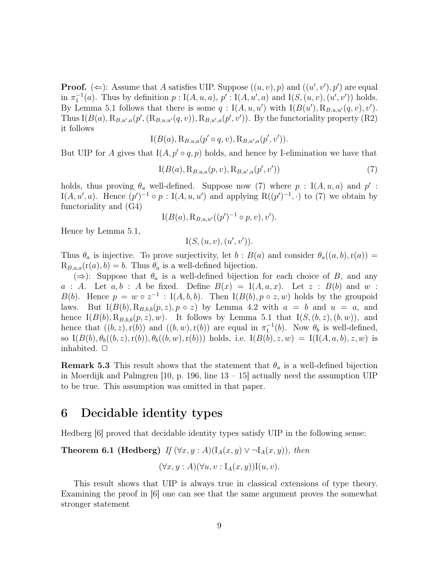**Proof.** ( $\Leftarrow$ ): Assume that A satisfies UIP. Suppose  $((u, v), p)$  and  $((u', v'), p')$  are equal in  $\pi_1^{-1}(a)$ . Thus by definition  $p: I(A, u, a), p': I(A, u', a)$  and  $I(S, (u, v), (u', v'))$  holds. By Lemma 5.1 follows that there is some  $q: I(A, u, u')$  with  $I(B(u'), R_{B,u,u'}(q, v), v')$ . Thus  $I(B(a), R_{B,u',a}(p', (R_{B,u,u'}(q, v)), R_{B,u',a}(p', v'))$ . By the functoriality property (R2) it follows

$$
I(B(a), R_{B,u,a}(p' \circ q, v), R_{B,u',a}(p', v')).
$$

But UIP for A gives that  $I(A, p' \circ q, p)$  holds, and hence by I-elimination we have that

$$
I(B(a), R_{B,u,a}(p, v), R_{B,u',a}(p', v'))
$$
\n(7)

holds, thus proving  $\theta_a$  well-defined. Suppose now (7) where  $p : I(A, u, a)$  and  $p'$ : I(A, u', a). Hence  $(p')^{-1} \circ p : I(A, u, u')$  and applying  $R((p')^{-1}, \cdot)$  to (7) we obtain by functoriality and (G4)

$$
I(B(a), R_{B,u,u'}((p')^{-1} \circ p, v), v').
$$

Hence by Lemma 5.1,

$$
I(S, (u, v), (u', v')).
$$

Thus  $\theta_a$  is injective. To prove surjectivity, let  $b : B(a)$  and consider  $\theta_a((a, b), r(a)) =$  $R_{B,a,a}(r(a), b) = b$ . Thus  $\theta_a$  is a well-defined bijection.

 $(\Rightarrow)$ : Suppose that  $\theta_a$  is a well-defined bijection for each choice of B, and any a : A. Let  $a, b$  : A be fixed. Define  $B(x) = I(A, a, x)$ . Let  $z : B(b)$  and  $w$  : B(b). Hence  $p = w \circ z^{-1} : I(A, b, b)$ . Then  $I(B(b), p \circ z, w)$  holds by the groupoid laws. But  $I(B(b), R_{B,b,b}(p, z), p \circ z)$  by Lemma 4.2 with  $a = b$  and  $u = a$ , and hence  $I(B(b), R_{B,b,b}(p, z), w)$ . It follows by Lemma 5.1 that  $I(S,(b, z), (b, w))$ , and hence that  $((b, z), r(b))$  and  $((b, w), r(b))$  are equal in  $\pi_1^{-1}(b)$ . Now  $\theta_b$  is well-defined, so  $I(B(b), \theta_b((b, z), r(b)), \theta_b((b, w), r(b)))$  holds, i.e.  $I(B(b), z, w) = I(I(A, a, b), z, w)$  is inhabited.  $\Box$ 

**Remark 5.3** This result shows that the statement that  $\theta_a$  is a well-defined bijection in Moerdijk and Palmgren  $[10, p. 196]$  line  $[13 - 15]$  actually need the assumption UIP to be true. This assumption was omitted in that paper.

### 6 Decidable identity types

Hedberg [6] proved that decidable identity types satisfy UIP in the following sense:

**Theorem 6.1 (Hedberg)** If  $(\forall x, y : A)(I_A(x, y) \lor \neg I_A(x, y))$ , then

$$
(\forall x, y : A)(\forall u, v : I_A(x, y))I(u, v).
$$

This result shows that UIP is always true in classical extensions of type theory. Examining the proof in [6] one can see that the same argument proves the somewhat stronger statement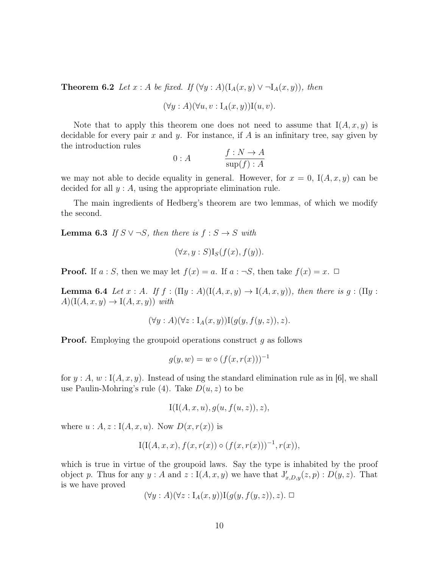**Theorem 6.2** Let  $x : A$  be fixed. If  $(\forall y : A)(I_A(x, y) \vee \neg I_A(x, y))$ , then

$$
(\forall y : A)(\forall u, v : I_A(x, y))I(u, v).
$$

Note that to apply this theorem one does not need to assume that  $I(A, x, y)$  is decidable for every pair  $x$  and  $y$ . For instance, if  $A$  is an infinitary tree, say given by the introduction rules

$$
0: A \qquad \qquad \frac{f: N \to A}{\sup(f): A}
$$

we may not able to decide equality in general. However, for  $x = 0$ , I $(A, x, y)$  can be decided for all  $y : A$ , using the appropriate elimination rule.

The main ingredients of Hedberg's theorem are two lemmas, of which we modify the second.

**Lemma 6.3** If  $S \vee \neg S$ , then there is  $f : S \rightarrow S$  with

$$
(\forall x, y : S) I_S(f(x), f(y)).
$$

**Proof.** If  $a : S$ , then we may let  $f(x) = a$ . If  $a : \neg S$ , then take  $f(x) = x$ .  $\Box$ 

**Lemma 6.4** Let  $x : A$ . If  $f : (\Pi y : A)(I(A, x, y) \to I(A, x, y))$ , then there is  $g : (\Pi y : A)(I(A, x, y))$  $A)(I(A, x, y) \rightarrow I(A, x, y))$  with

$$
(\forall y : A)(\forall z : I_A(x, y))I(g(y, f(y, z)), z).
$$

**Proof.** Employing the groupoid operations construct g as follows

$$
g(y, w) = w \circ (f(x, r(x)))^{-1}
$$

for  $y : A, w : I(A, x, y)$ . Instead of using the standard elimination rule as in [6], we shall use Paulin-Mohring's rule (4). Take  $D(u, z)$  to be

$$
I(I(A, x, u), g(u, f(u, z)), z),
$$

where  $u : A, z : I(A, x, u)$ . Now  $D(x, r(x))$  is

$$
I(I(A, x, x), f(x, r(x)) \circ (f(x, r(x)))^{-1}, r(x)),
$$

which is true in virtue of the groupoid laws. Say the type is inhabited by the proof object p. Thus for any  $y : A$  and  $z : I(A, x, y)$  we have that  $J'_{x,D,y}(z, p) : D(y, z)$ . That is we have proved

$$
(\forall y : A)(\forall z : I_A(x, y))I(g(y, f(y, z)), z). \square
$$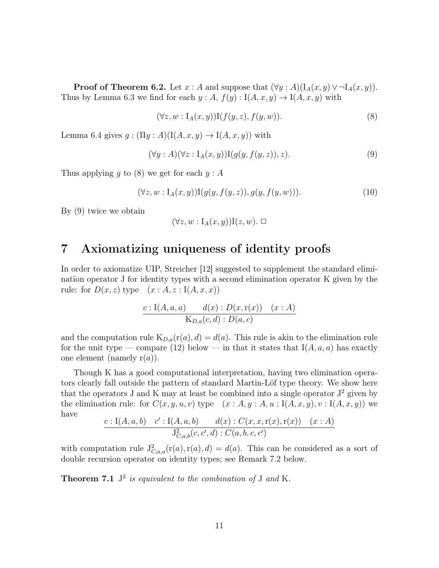**Proof of Theorem 6.2.** Let  $x : A$  and suppose that  $(\forall y : A)(I_A(x, y) \vee \neg I_A(x, y))$ . Thus by Lemma 6.3 we find for each  $y : A, f(y) : I(A, x, y) \to I(A, x, y)$  with

$$
(\forall z, w : I_A(x, y)) I(f(y, z), f(y, w)).
$$
\n(8)

Lemma 6.4 gives  $g : (\Pi y : A)(I(A, x, y) \to I(A, x, y))$  with

$$
(\forall y : A)(\forall z : I_A(x, y))I(g(y, f(y, z)), z).
$$
\n(9)

Thus applying q to  $(8)$  we get for each  $y : A$ 

$$
(\forall z, w : I_A(x, y)) I(g(y, f(y, z)), g(y, f(y, w))).
$$
\n
$$
(10)
$$

By (9) twice we obtain

$$
(\forall z, w : I_A(x, y))I(z, w). \Box
$$

# 7 Axiomatizing uniqueness of identity proofs

In order to axiomatize UIP, Streicher [12] suggested to supplement the standard elimination operator J for identity types with a second elimination operator K given by the rule: for  $D(x, z)$  type  $(x : A, z : I(A, x, x))$ 

$$
\frac{c: \mathrm{I}(A,a,a) - d(x): D(x,\mathrm{r}(x)) \quad (x:A)}{\mathrm{K}_{D,a}(c,d): D(a,c)}
$$

and the computation rule  $K_{D,a}(r(a), d) = d(a)$ . This rule is akin to the elimination rule for the unit type — compare (12) below — in that it states that  $I(A, a, a)$  has exactly one element (namely  $r(a)$ ).

Though K has a good computational interpretation, having two elimination operators clearly fall outside the pattern of standard Martin-Löf type theory. We show here that the operators  $J$  and  $K$  may at least be combined into a single operator  $J^2$  given by the elimination rule: for  $C(x, y, u, v)$  type  $(x : A, y : A, u : I(A, x, y), v : I(A, x, y))$  we have

$$
\frac{c: \mathrm{I}(A,a,b) \quad c': \mathrm{I}(A,a,b) \quad d(x): C(x,x,\mathrm{r}(x),\mathrm{r}(x)) \quad (x:A)}{\mathrm{J}_{C,a,b}^2(c,c',d): C(a,b,c,c')}
$$

with computation rule  $J_{C,a,a}^2(r(a),r(a), d) = d(a)$ . This can be considered as a sort of double recursion operator on identity types; see Remark 7.2 below.

**Theorem 7.1**  $J^2$  is equivalent to the combination of J and K.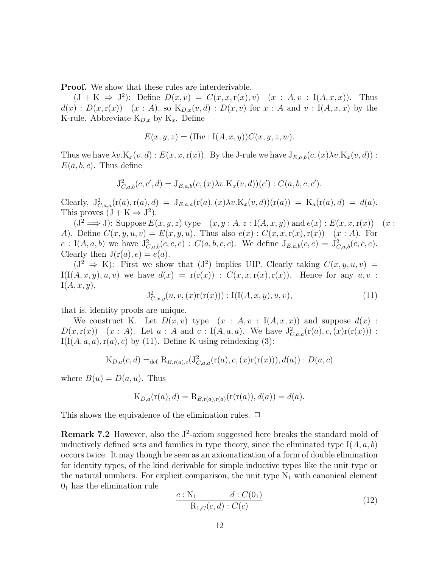Proof. We show that these rules are interderivable.

 $(J + K \Rightarrow J^2)$ : Define  $D(x, v) = C(x, x, r(x), v)$   $(x : A, v : I(A, x, x))$ . Thus  $d(x) : D(x,\mathbf{r}(x)) \quad (x : A),$  so  $\mathbf{K}_{D,x}(v,d) : D(x,v)$  for  $x : A$  and  $v : \mathbf{I}(A,x,x)$  by the K-rule. Abbreviate  $K_{D,x}$  by  $K_x$ . Define

$$
E(x, y, z) = (\Pi w : I(A, x, y))C(x, y, z, w).
$$

Thus we have  $\lambda v.K_x(v, d): E(x, x, r(x))$ . By the J-rule we have  $J_{E,a,b}(c,(x)\lambda v.K_x(v, d))$ :  $E(a, b, c)$ . Thus define

$$
J_{C,a,b}^{2}(c, c', d) = J_{E,a,b}(c, (x) \lambda v.K_{x}(v, d))(c') : C(a, b, c, c').
$$

Clearly,  $J^2_{C,a,a}(r(a),r(a),d) = J_{E,a,a}(r(a),(x)\lambda v.K_x(v,d))(r(a)) = K_a(r(a),d) = d(a).$ This proves  $(J + K \Rightarrow J^2)$ .

 $(J^2 \Longrightarrow J)$ : Suppose  $E(x, y, z)$  type  $(x, y : A, z : I(A, x, y))$  and  $e(x) : E(x, x, r(x))$   $(x :$ A). Define  $C(x, y, u, v) = E(x, y, u)$ . Thus also  $e(x) : C(x, x, r(x), r(x)) \quad (x : A)$ . For  $c: I(A, a, b)$  we have  $J_{C, a, b}^2(c, c, e) : C(a, b, c, c)$ . We define  $J_{E, a, b}(c, e) = J_{C, a, b}^2(c, c, e)$ . Clearly then  $J(r(a), e) = e(a)$ .

 $(J^2 \Rightarrow K)$ : First we show that  $(J^2)$  implies UIP. Clearly taking  $C(x, y, u, v)$  =  $I(I(A, x, y), u, v)$  we have  $d(x) = r(r(x))$ :  $C(x, x, r(x), r(x))$ . Hence for any  $u, v$ :  $I(A, x, y),$ 

$$
J_{C,x,y}^2(u,v,(x)r(r(x))) : I(I(A,x,y),u,v),
$$
\n(11)

that is, identity proofs are unique.

We construct K. Let  $D(x, v)$  type  $(x : A, v : I(A, x, x))$  and suppose  $d(x)$ :  $D(x, r(x))$   $(x : A)$ . Let  $a : A$  and  $c : I(A, a, a)$ . We have  $J_{C,a,a}^2(r(a), c, (x)r(r(x)))$ :  $I(I(A, a, a), r(a), c)$  by (11). Define K using reindexing (3):

$$
K_{D,a}(c,d) =_{def} R_{B,r(a),c}(J^2_{C,a,a}(r(a),c,(x)r(r(x))),d(a)):D(a,c)
$$

where  $B(u) = D(a, u)$ . Thus

$$
K_{D,a}(r(a),d) = R_{B,r(a),r(a)}(r(r(a)),d(a)) = d(a).
$$

This shows the equivalence of the elimination rules.  $\Box$ 

**Remark 7.2** However, also the  $J^2$ -axiom suggested here breaks the standard mold of inductively defined sets and families in type theory, since the eliminated type  $I(A, a, b)$ occurs twice. It may though be seen as an axiomatization of a form of double elimination for identity types, of the kind derivable for simple inductive types like the unit type or the natural numbers. For explicit comparison, the unit type  $N_1$  with canonical element  $0<sub>1</sub>$  has the elimination rule

$$
\frac{c: \mathcal{N}_1 \qquad d: C(0_1)}{\mathcal{R}_{1,C}(c,d): C(c)} \tag{12}
$$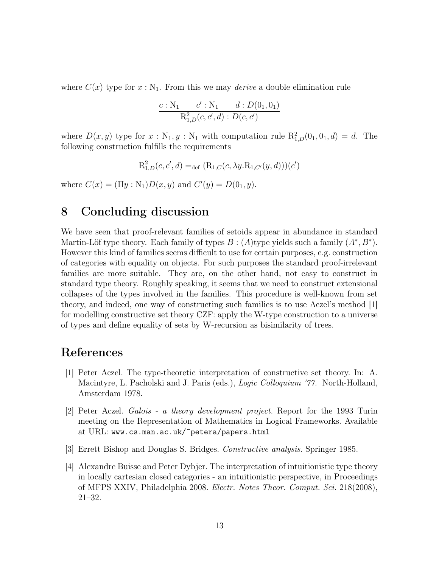where  $C(x)$  type for  $x : N_1$ . From this we may *derive* a double elimination rule

$$
\frac{c: \mathrm{N}_1 \quad c': \mathrm{N}_1 \quad d: D(0_1, 0_1)}{\mathrm{R}_{1,D}^2(c, c', d): D(c, c')}
$$

where  $D(x, y)$  type for  $x : N_1, y : N_1$  with computation rule  $R_{1,D}^2(0_1, 0_1, d) = d$ . The following construction fulfills the requirements

$$
R_{1,D}^{2}(c, c', d) =_{def} (R_{1,C}(c, \lambda y.R_{1,C'}(y, d)))(c')
$$

where  $C(x) = (\Pi y : \mathbb{N}_1)D(x, y)$  and  $C'(y) = D(0_1, y)$ .

# 8 Concluding discussion

We have seen that proof-relevant families of setoids appear in abundance in standard Martin-Löf type theory. Each family of types  $B : (A)$  type yields such a family  $(A^*, B^*)$ . However this kind of families seems difficult to use for certain purposes, e.g. construction of categories with equality on objects. For such purposes the standard proof-irrelevant families are more suitable. They are, on the other hand, not easy to construct in standard type theory. Roughly speaking, it seems that we need to construct extensional collapses of the types involved in the families. This procedure is well-known from set theory, and indeed, one way of constructing such families is to use Aczel's method [1] for modelling constructive set theory CZF: apply the W-type construction to a universe of types and define equality of sets by W-recursion as bisimilarity of trees.

# References

- [1] Peter Aczel. The type-theoretic interpretation of constructive set theory. In: A. Macintyre, L. Pacholski and J. Paris (eds.), *Logic Colloquium '77*. North-Holland, Amsterdam 1978.
- [2] Peter Aczel. Galois a theory development project. Report for the 1993 Turin meeting on the Representation of Mathematics in Logical Frameworks. Available at URL: www.cs.man.ac.uk/˜petera/papers.html
- [3] Errett Bishop and Douglas S. Bridges. Constructive analysis. Springer 1985.
- [4] Alexandre Buisse and Peter Dybjer. The interpretation of intuitionistic type theory in locally cartesian closed categories - an intuitionistic perspective, in Proceedings of MFPS XXIV, Philadelphia 2008. Electr. Notes Theor. Comput. Sci. 218(2008), 21–32.